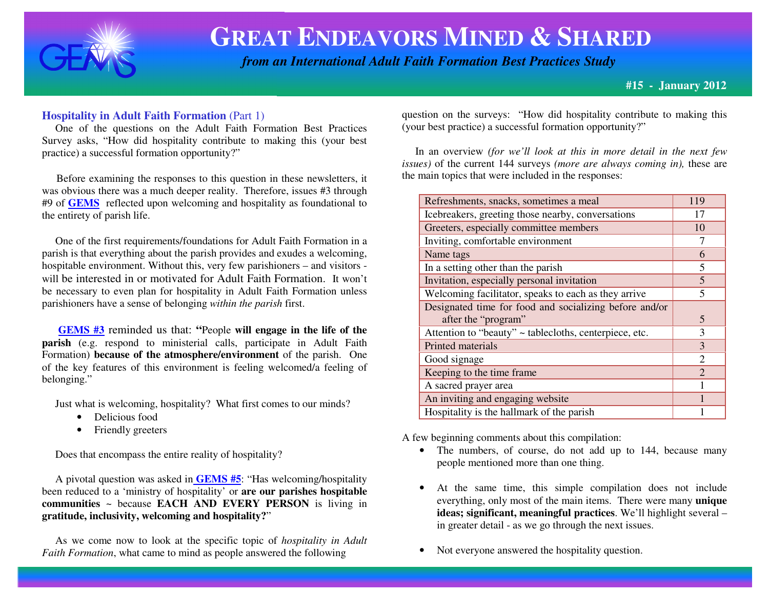

## **GREAT ENDEAVORS MINED &SHARED**

 *from an International Adult Faith Formation Best Practices Study*

**#15 - January 2012**

### **Hospitality in Adult Faith Formation** (Part 1)

 One of the questions on the Adult Faith Formation Best Practices Survey asks, "How did hospitality contribute to making this (your best practice) a successful formation opportunity?"

Before examining the responses to this question in these newsletters, it was obvious there was a much deeper reality. Therefore, issues #3 through #9 of **GEMS** reflected upon welcoming and hospitality as foundational to the entirety of parish life.

 One of the first requirements/foundations for Adult Faith Formation in a parish is that everything about the parish provides and exudes a welcoming, hospitable environment. Without this, very few parishioners – and visitors will be interested in or motivated for Adult Faith Formation. It won't be necessary to even plan for hospitality in Adult Faith Formation unless parishioners have a sense of belonging *within the parish* first.

**GEMS #3** reminded us that: **"**People **will engage in the life of the parish** (e.g. respond to ministerial calls, participate in Adult Faith Formation) **because of the atmosphere/environment** of the parish. One of the key features of this environment is feeling welcomed/a feeling of belonging."

Just what is welcoming, hospitality? What first comes to our minds?

- Delicious food
- $\bullet$ Friendly greeters

Does that encompass the entire reality of hospitality?

 A pivotal question was asked in **GEMS #5**: "Has welcoming/hospitality been reduced to a 'ministry of hospitality' or **are our parishes hospitable communities** ~ because **EACH AND EVERY PERSON** is living in **gratitude, inclusivity, welcoming and hospitality?**"

 As we come now to look at the specific topic of *hospitality in AdultFaith Formation*, what came to mind as people answered the following

question on the surveys: "How did hospitality contribute to making this (your best practice) a successful formation opportunity?"

 In an overview *(for we'll look at this in more detail in the next few issues)* of the current 144 surveys *(more are always coming in),* these are the main topics that were included in the responses:

| Refreshments, snacks, sometimes a meal                 | 119            |
|--------------------------------------------------------|----------------|
| Icebreakers, greeting those nearby, conversations      | 17             |
| Greeters, especially committee members                 | 10             |
| Inviting, comfortable environment                      |                |
| Name tags                                              | 6              |
| In a setting other than the parish                     | 5              |
| Invitation, especially personal invitation             | $\overline{5}$ |
| Welcoming facilitator, speaks to each as they arrive   |                |
| Designated time for food and socializing before and/or |                |
| after the "program"                                    | 5              |
| Attention to "beauty" ~ tablecloths, centerpiece, etc. | 3              |
| Printed materials                                      | 3              |
| Good signage                                           | 2              |
| Keeping to the time frame                              | $\mathcal{D}$  |
| A sacred prayer area                                   |                |
| An inviting and engaging website                       |                |
| Hospitality is the hallmark of the parish              |                |

A few beginning comments about this compilation:

- The numbers, of course, do not add up to 144, because many people mentioned more than one thing.
- • At the same time, this simple compilation does not include everything, only most of the main items. There were many **unique ideas; significant, meaningful practices**. We'll highlight several – in greater detail - as we go through the next issues.
- •Not everyone answered the hospitality question.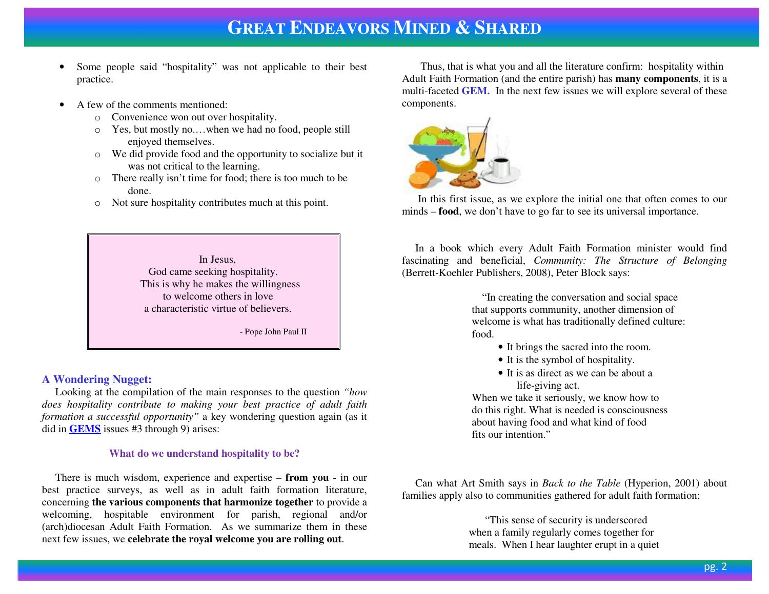- • Some people said "hospitality" was not applicable to their best practice.
- • A few of the comments mentioned:
	- o Convenience won out over hospitality.
	- o Yes, but mostly no.…when we had no food, people still enjoyed themselves.
	- o We did provide food and the opportunity to socialize but it was not critical to the learning.
	- o There really isn't time for food; there is too much to be done.
	- o Not sure hospitality contributes much at this point.

In Jesus, God came seeking hospitality. This is why he makes the willingness to welcome others in love a characteristic virtue of believers.

- Pope John Paul II

### **A Wondering Nugget:**

 Looking at the compilation of the main responses to the question *"how does hospitality contribute to making your best practice of adult faith formation a successful opportunity"* a key wondering question again (as it did in **GEMS** issues #3 through 9) arises:

#### **What do we understand hospitality to be?**

 There is much wisdom, experience and expertise – **from you** - in our best practice surveys, as well as in adult faith formation literature, concerning **the various components that harmonize together** to provide a welcoming, hospitable environment for parish, regional and/or (arch)diocesan Adult Faith Formation. As we summarize them in these next few issues, we **celebrate the royal welcome you are rolling out**.

 Thus, that is what you and all the literature confirm: hospitality within Adult Faith Formation (and the entire parish) has **many components**, it is a multi-faceted **GEM.** In the next few issues we will explore several of these components.



 In this first issue, as we explore the initial one that often comes to our minds – **food**, we don't have to go far to see its universal importance.

 In a book which every Adult Faith Formation minister would find fascinating and beneficial, *Community: The Structure of Belonging*(Berrett-Koehler Publishers, 2008), Peter Block says:

> "In creating the conversation and social space that supports community, another dimension of welcome is what has traditionally defined culture: food.

- It brings the sacred into the room.
- It is the symbol of hospitality.
- It is as direct as we can be about a life-giving act.

 When we take it seriously, we know how to do this right. What is needed is consciousness about having food and what kind of food fits our intention."

 Can what Art Smith says in *Back to the Table* (Hyperion, 2001) about families apply also to communities gathered for adult faith formation:

 "This sense of security is underscored when a family regularly comes together for meals. When I hear laughter erupt in a quiet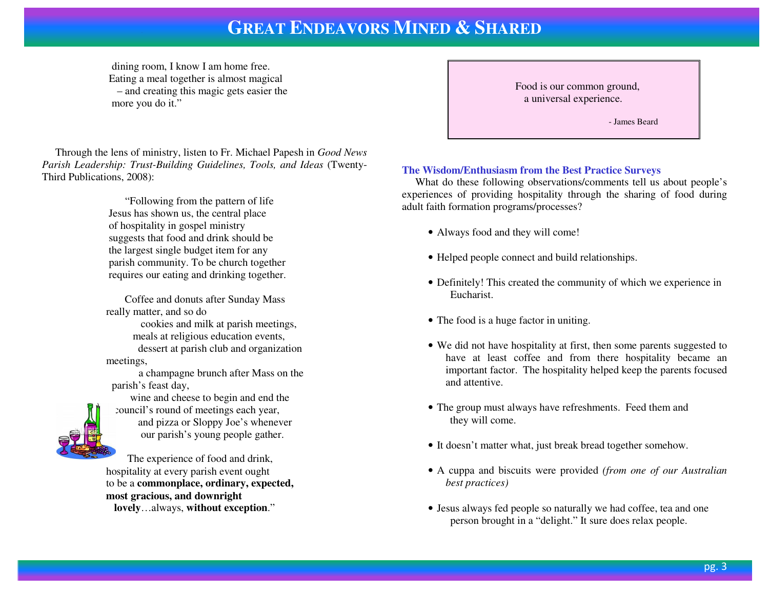# **GREAT ENDEAVORS MINED & <sup>S</sup>HARED**

dining room, I know I am home free. Eating a meal together is almost magical – and creating this magic gets easier the more you do it."

 Through the lens of ministry, listen to Fr. Michael Papesh in *Good News Parish Leadership: Trust-Building Guidelines, Tools, and Ideas* (Twenty-Third Publications, 2008):

 "Following from the pattern of life Jesus has shown us, the central place of hospitality in gospel ministry suggests that food and drink should be the largest single budget item for any parish community. To be church together requires our eating and drinking together.

 Coffee and donuts after Sunday Mass really matter, and so do cookies and milk at parish meetings, meals at religious education events, dessert at parish club and organization meetings,

> a champagne brunch after Mass on the parish's feast day,

wine and cheese to begin and end the council's round of meetings each year,  $\triangle$  and pizza or Sloppy Joe's whenever our parish's young people gather.

 The experience of food and drink, hospitality at every parish event ought to be a **commonplace, ordinary, expected, most gracious, and downrightlovely**…always, **without exception**."

Food is our common ground, a universal experience.

- James Beard

### **The Wisdom/Enthusiasm from the Best Practice Surveys**

 What do these following observations/comments tell us about people's experiences of providing hospitality through the sharing of food during adult faith formation programs/processes?

- Always food and they will come!
- Helped people connect and build relationships.
- Definitely! This created the community of which we experience in Eucharist.
- The food is a huge factor in uniting.
- We did not have hospitality at first, then some parents suggested to have at least coffee and from there hospitality became an important factor. The hospitality helped keep the parents focused and attentive.
- The group must always have refreshments. Feed them and they will come.
- It doesn't matter what, just break bread together somehow.
- A cuppa and biscuits were provided *(from one of our Australian best practices)*
- Jesus always fed people so naturally we had coffee, tea and one person brought in a "delight." It sure does relax people.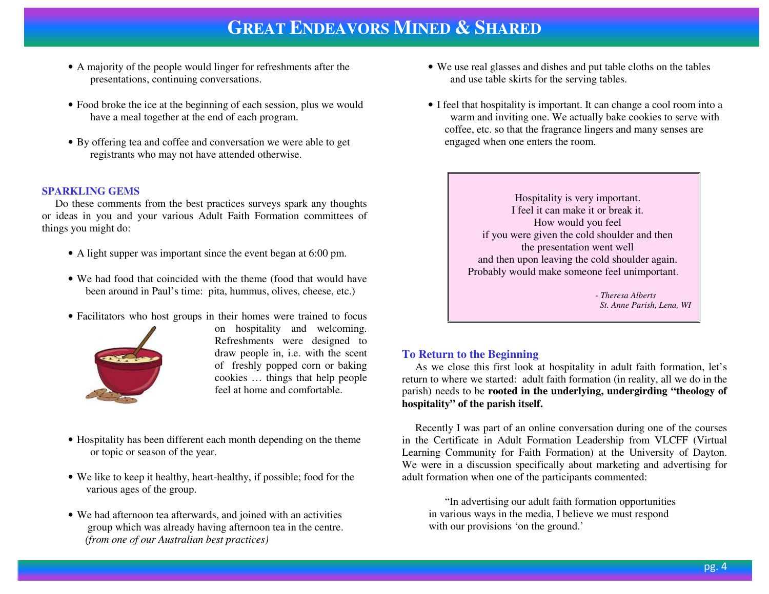# **GREAT ENDEAVORS MINED & <sup>S</sup>HARED**

- A majority of the people would linger for refreshments after the presentations, continuing conversations.
- Food broke the ice at the beginning of each session, plus we would have a meal together at the end of each program.
- By offering tea and coffee and conversation we were able to get registrants who may not have attended otherwise.

#### **SPARKLING GEMS**

 Do these comments from the best practices surveys spark any thoughts or ideas in you and your various Adult Faith Formation committees of things you might do:

- A light supper was important since the event began at 6:00 pm.
- We had food that coincided with the theme (food that would have been around in Paul's time: pita, hummus, olives, cheese, etc.)
- Facilitators who host groups in their homes were trained to focus



on hospitality and welcoming. Refreshments were designed to draw people in, i.e. with the scent of freshly popped corn or baking cookies … things that help people feel at home and comfortable.

- Hospitality has been different each month depending on the theme or topic or season of the year.
- We like to keep it healthy, heart-healthy, if possible; food for the various ages of the group.
- We had afternoon tea afterwards, and joined with an activities group which was already having afternoon tea in the centre. *(from one of our Australian best practices)*
- We use real glasses and dishes and put table cloths on the tables and use table skirts for the serving tables.
- I feel that hospitality is important. It can change a cool room into a warm and inviting one. We actually bake cookies to serve with coffee, etc. so that the fragrance lingers and many senses are engaged when one enters the room.

Hospitality is very important. I feel it can make it or break it. How would you feel if you were given the cold shoulder and then the presentation went well and then upon leaving the cold shoulder again. Probably would make someone feel unimportant.

> - *Theresa Alberts St. Anne Parish, Lena, WI*

#### **To Return to the Beginning**

 As we close this first look at hospitality in adult faith formation, let's return to where we started: adult faith formation (in reality, all we do in the parish) needs to be **rooted in the underlying, undergirding "theology ofhospitality" of the parish itself.** 

 Recently I was part of an online conversation during one of the courses in the Certificate in Adult Formation Leadership from VLCFF (Virtual Learning Community for Faith Formation) at the University of Dayton. We were in a discussion specifically about marketing and advertising for adult formation when one of the participants commented:

 "In advertising our adult faith formation opportunities in various ways in the media, I believe we must respond with our provisions 'on the ground.'